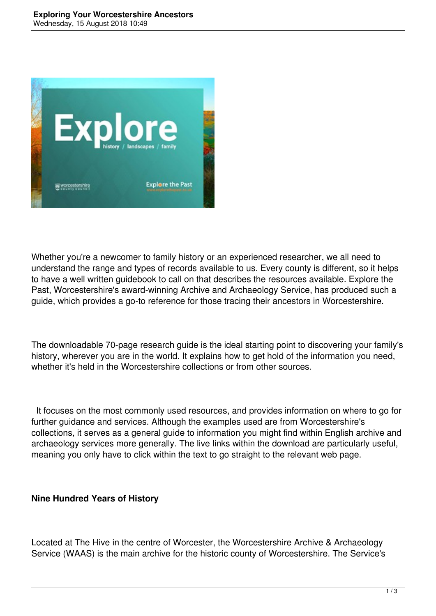

Whether you're a newcomer to family history or an experienced researcher, we all need to understand the range and types of records available to us. Every county is different, so it helps to have a well written guidebook to call on that describes the resources available. Explore the Past, Worcestershire's award-winning Archive and Archaeology Service, has produced such a guide, which provides a go-to reference for those tracing their ancestors in Worcestershire.

The downloadable 70-page research guide is the ideal starting point to discovering your family's history, wherever you are in the world. It explains how to get hold of the information you need, whether it's held in the Worcestershire collections or from other sources.

 It focuses on the most commonly used resources, and provides information on where to go for further guidance and services. Although the examples used are from Worcestershire's collections, it serves as a general guide to information you might find within English archive and archaeology services more generally. The live links within the download are particularly useful, meaning you only have to click within the text to go straight to the relevant web page.

## **Nine Hundred Years of History**

Located at The Hive in the centre of Worcester, the Worcestershire Archive & Archaeology Service (WAAS) is the main archive for the historic county of Worcestershire. The Service's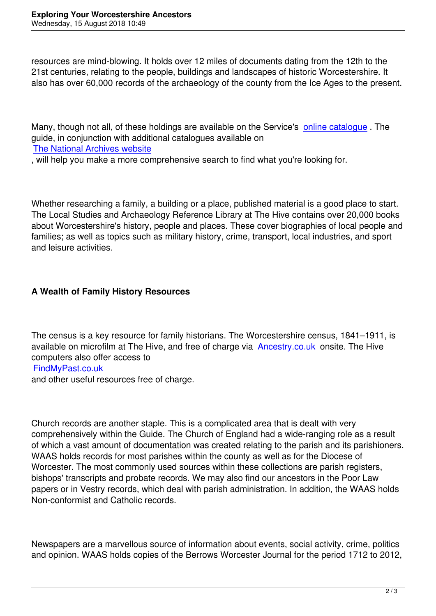resources are mind-blowing. It holds over 12 miles of documents dating from the 12th to the 21st centuries, relating to the people, buildings and landscapes of historic Worcestershire. It also has over 60,000 records of the archaeology of the county from the Ice Ages to the present.

Many, though not all, of these holdings are available on the Service's online catalogue . The guide, in conjunction with additional catalogues available on The National Archives website

, will help you make a more comprehensive search to find what you're [looking for.](http://www.worcestershire.gov.uk/info/20189/search_our_records)

Whether researching a family, a building or a place, published material is a good place to start. The Local Studies and Archaeology Reference Library at The Hive contains over 20,000 books about Worcestershire's history, people and places. These cover biographies of local people and families; as well as topics such as military history, crime, transport, local industries, and sport and leisure activities.

## **A Wealth of Family History Resources**

The census is a key resource for family historians. The Worcestershire census, 1841–1911, is available on microfilm at The Hive, and free of charge via Ancestry.co.uk onsite. The Hive computers also offer access to FindMyPast.co.uk

and other useful resources free of charge.

Church records are another staple. This is a complicated area that is dealt with very comprehensively within the Guide. The Church of England had a wide-ranging role as a result of which a vast amount of documentation was created relating to the parish and its parishioners. WAAS holds records for most parishes within the county as well as for the Diocese of Worcester. The most commonly used sources within these collections are parish registers, bishops' transcripts and probate records. We may also find our ancestors in the Poor Law papers or in Vestry records, which deal with parish administration. In addition, the WAAS holds Non-conformist and Catholic records.

Newspapers are a marvellous source of information about events, social activity, crime, politics and opinion. WAAS holds copies of the Berrows Worcester Journal for the period 1712 to 2012,